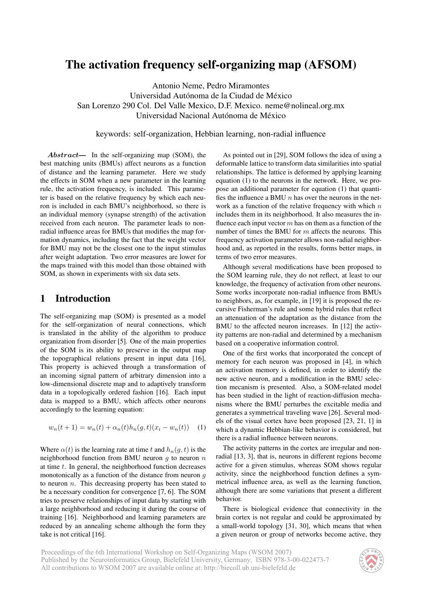# The activation frequency self-organizing map (AFSOM)

Antonio Neme, Pedro Miramontes Universidad Autónoma de la Ciudad de México San Lorenzo 290 Col. Del Valle Mexico, D.F. Mexico. neme@nolineal.org.mx Universidad Nacional Autónoma de México

#### keywords: self-organization, Hebbian learning, non-radial influence

Abstract— In the self-organizing map (SOM), the best matching units (BMUs) affect neurons as a function of distance and the learning parameter. Here we study the effects in SOM when a new parameter in the learning rule, the activation frequency, is included. This parameter is based on the relative frequency by which each neuron is included in each BMU's neighborhood, so there is an individual memory (synapse strength) of the activation received from each neuron. The parameter leads to nonradial influence areas for BMUs that modifies the map formation dynamics, including the fact that the weight vector for BMU may not be the closest one to the input stimulus after weight adaptation. Two error measures are lower for the maps trained with this model than those obtained with SOM, as shown in experiments with six data sets.

## 1 Introduction

The self-organizing map (SOM) is presented as a model for the self-organization of neural connections, which is translated in the ability of the algorithm to produce organization from disorder [5]. One of the main properties of the SOM is its ability to preserve in the output map the topographical relations present in input data [16], This property is achieved through a transformation of an incoming signal pattern of arbitrary dimension into a low-dimensional discrete map and to adaptively transform data in a topologically ordered fashion [16]. Each input data is mapped to a BMU, which affects other neurons accordingly to the learning equation:

$$
w_n(t+1) = w_n(t) + \alpha_n(t)h_n(g, t)(x_i - w_n(t)) \quad (1)
$$

Where  $\alpha(t)$  is the learning rate at time t and  $h_n(g, t)$  is the neighborhood function from BMU neuron  $q$  to neuron  $n$ at time  $t$ . In general, the neighborhood function decreases monotonically as a function of the distance from neuron  $q$ to neuron  $n$ . This decreasing property has been stated to be a necessary condition for convergence [7, 6]. The SOM tries to preserve relationships of input data by starting with a large neighborhood and reducing it during the course of training [16]. Neighborhood and learning parameters are reduced by an annealing scheme although the form they take is not critical [16].

As pointed out in [29], SOM follows the idea of using a deformable lattice to transform data similarities into spatial relationships. The lattice is deformed by applying learning equation (1) to the neurons in the network. Here, we propose an additional parameter for equation (1) that quantifies the influence a BMU  $n$  has over the neurons in the network as a function of the relative frequency with which  $n$ includes them in its neighborhood. It also measures the influence each input vector  $m$  has on them as a function of the number of times the BMU for m affects the neurons. This frequency activation parameter allows non-radial neighborhood and, as reported in the results, forms better maps, in terms of two error measures.

Although several modifications have been proposed to the SOM learning rule, they do not reflect, at least to our knowledge, the frequency of activation from other neurons. Some works incorporate non-radial influence from BMUs to neighbors, as, for example, in [19] it is proposed the recursive Fisherman's rule and some hybrid rules that reflect an attenuation of the adaptation as the distance from the BMU to the affected neuron increases. In [12] the activity patterns are non-radial and determined by a mechanism based on a cooperative information control.

One of the first works that incorporated the concept of memory for each neuron was proposed in [4], in which an activation memory is defined, in order to identify the new active neuron, and a modification in the BMU selection mecanism is presented. Also, a SOM-related model has been studied in the light of reaction-diffusion mechanisms where the BMU perturbes the excitable media and generates a symmetrical traveling wave [26]. Several models of the visual cortex have been proposed [23, 21, 1] in which a dynamic Hebbian-like behavior is considered, but there is a radial influence between neurons.

The activity patterns in the cortex are irregular and nonradial [13, 3], that is, neurons in different regions become active for a given stimulus, whereas SOM shows regular activity, since the neighborhood function defines a symmetrical influence area, as well as the learning function, although there are some variations that present a different behavior.

There is biological evidence that connectivity in the brain cortex is not regular and could be approximated by a small-world topology [31, 30], which means that when a given neuron or group of networks become active, they

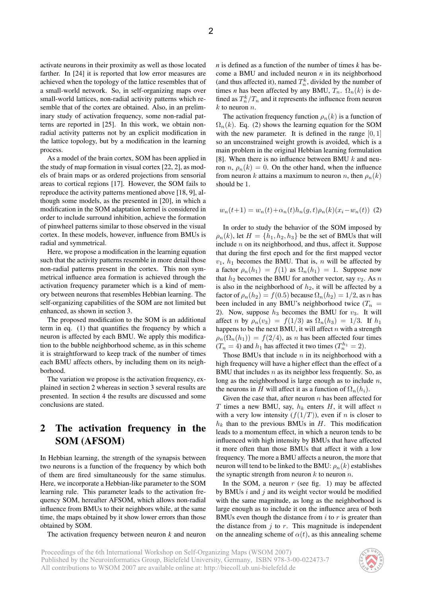activate neurons in their proximity as well as those located farther. In [24] it is reported that low error measures are achieved when the topology of the lattice resembles that of a small-world network. So, in self-organizing maps over small-world lattices, non-radial activity patterns which resemble that of the cortex are obtained. Also, in an preliminary study of activation frequency, some non-radial patterns are reported in [25]. In this work, we obtain nonradial activity patterns not by an explicit modification in the lattice topology, but by a modification in the learning process.

As a model of the brain cortex, SOM has been applied in the study of map formation in visual cortex [22, 2], as models of brain maps or as ordered projections from sensorial areas to cortical regions [17]. However, the SOM fails to reproduce the activity patterns mentioned above [18, 9], although some models, as the presented in [20], in which a modification in the SOM adaptation kernel is considered in order to include surround inhibition, achieve the formation of pinwheel patterns similar to those observed in the visual cortex. In these models, however, influence from BMUs is radial and symmetrical.

Here, we propose a modification in the learning equation such that the activity patterns resemble in more detail those non-radial patterns present in the cortex. This non symmetrical influence area formation is achieved through the activation frequency parameter which is a kind of memory between neurons that resembles Hebbian learning. The self-organizing capabilities of the SOM are not limited but enhanced, as shown in section 3.

The proposed modification to the SOM is an additional term in eq. (1) that quantifies the frequency by which a neuron is affected by each BMU. We apply this modification to the bubble neighborhood scheme, as in this scheme it is straightforward to keep track of the number of times each BMU affects others, by including them on its neighborhood.

The variation we propose is the activation frequency, explained in section 2 whereas in section 3 several results are presented. In section 4 the results are discussed and some conclusions are stated.

## 2 The activation frequency in the SOM (AFSOM)

In Hebbian learning, the strength of the synapsis between two neurons is a function of the frequency by which both of them are fired simultaneously for the same stimulus. Here, we incorporate a Hebbian-like parameter to the SOM learning rule. This parameter leads to the activation frequency SOM, hereafter AFSOM, which allows non-radial influence from BMUs to their neighbors while, at the same time, the maps obtained by it show lower errors than those obtained by SOM.

The activation frequency between neuron *k* and neuron

*n* is defined as a function of the number of times *k* has become a BMU and included neuron *n* in its neighborhood (and thus affected it), named  $T_n^k$ , divided by the number of times *n* has been affected by any BMU,  $T_n$ .  $\Omega_n(k)$  is defined as  $T_n^k/T_n$  and it represents the influence from neuron  $k$  to neuron  $n$ .

The activation frequency function  $\rho_n(k)$  is a function of  $\Omega_n(k)$ . Eq. (2) shows the learning equation for the SOM with the new parameter. It is defined in the range  $[0, 1]$ so an unconstrained weight growth is avoided, which is a main problem in the original Hebbian learning formulation [8]. When there is no influence between BMU  $k$  and neuron n,  $\rho_n(k) = 0$ . On the other hand, when the influence from neuron k attains a maximum to neuron n, then  $\rho_n(k)$ should be 1.

$$
w_n(t+1) = w_n(t) + \alpha_n(t)h_n(g,t)\rho_n(k)(x_i - w_n(t))
$$
 (2)

In order to study the behavior of the SOM imposed by  $\rho_n(k)$ , let  $H = \{h_1, h_2, h_3\}$  be the set of BMUs that will include n on its neighborhood, and thus, affect it. Suppose that during the first epoch and for the first mapped vector  $v_1$ ,  $h_1$  becomes the BMU. That is, n will be affected by a factor  $\rho_n(h_1) = f(1)$  as  $\Omega_n(h_1) = 1$ . Suppose now that  $h_2$  becomes the BMU for another vector, say  $v_2$ . As n is also in the neighborhood of  $h_2$ , it will be affected by a factor of  $\rho_n(h_2) = f(0.5)$  because  $\Omega_n(h_2) = 1/2$ , as n has been included in any BMU's neighborhood twice  $(T_n =$ 2). Now, suppose  $h_3$  becomes the BMU for  $v_3$ . It will affect n by  $\rho_n(v_3) = f(1/3)$  as  $\Omega_n(h_3) = 1/3$ . If  $h_1$ happens to be the next BMU, it will affect  $n$  with a strength  $\rho_n(\Omega_n(h_1)) = f(2/4)$ , as n has been affected four times  $(T_n = 4)$  and  $h_1$  has affected it two times  $(T_n^{h_1} = 2)$ .

Those BMUs that include  $n$  in its neighborhood with a high frequency will have a higher effect than the effect of a BMU that includes  $n$  as its neighbor less frequently. So, as long as the neighborhood is large enough as to include  $n$ , the neurons in H will affect it as a function of  $\Omega_n(h_i)$ .

Given the case that, after neuron  $n$  has been affected for T times a new BMU, say,  $h_k$  enters  $H$ , it will affect  $n$ with a very low intensity  $(f(1/T))$ , even if n is closer to  $h_k$  than to the previous BMUs in H. This modification leads to a momentum effect, in which a neuron tends to be influenced with high intensity by BMUs that have affected it more often than those BMUs that affect it with a low frequency. The more a BMU affects a neuron, the more that neuron will tend to be linked to the BMU:  $\rho_n(k)$  establishes the synaptic strength from neuron  $k$  to neuron  $n$ .

In the SOM, a neuron  $r$  (see fig. 1) may be affected by BMUs  $i$  and  $j$  and its weight vector would be modified with the same magnitude, as long as the neighborhood is large enough as to include it on the influence area of both BMUs even though the distance from  $i$  to  $r$  is greater than the distance from  $j$  to  $r$ . This magnitude is independent on the annealing scheme of  $\alpha(t)$ , as this annealing scheme

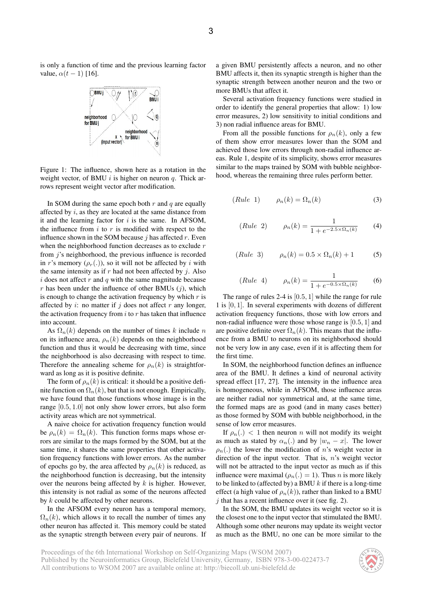is only a function of time and the previous learning factor value,  $\alpha(t-1)$  [16].



Figure 1: The influence, shown here as a rotation in the weight vector, of BMU  $i$  is higher on neuron  $q$ . Thick arrows represent weight vector after modification.

In SOM during the same epoch both  $r$  and  $q$  are equally affected by  $i$ , as they are located at the same distance from it and the learning factor for  $i$  is the same. In AFSOM, the influence from  $i$  to  $r$  is modified with respect to the influence shown in the SOM because  $j$  has affected  $r$ . Even when the neighborhood function decreases as to exclude  $r$ from *j*'s neighborhood, the previous influence is recorded in r's memory  $(\rho_r(.))$ , so it will not be affected by i with the same intensity as if  $r$  had not been affected by  $j$ . Also  $i$  does not affect  $r$  and  $q$  with the same magnitude because r has been under the influence of other BMUs  $(i)$ , which is enough to change the activation frequency by which  $r$  is affected by  $i$ : no matter if  $j$  does not affect  $r$  any longer, the activation frequency from  $i$  to  $r$  has taken that influence into account.

As  $\Omega_n(k)$  depends on the number of times k include n on its influence area,  $\rho_n(k)$  depends on the neighborhood function and thus it would be decreasing with time, since the neighborhood is also decreasing with respect to time. Therefore the annealing scheme for  $\rho_n(k)$  is straightforward as long as it is positive definite.

The form of  $\rho_n(k)$  is critical: it should be a positive definite function on  $\Omega_n(k)$ , but that is not enough. Empirically, we have found that those functions whose image is in the range [0.5, 1.0] not only show lower errors, but also form activity areas which are not symmetrical.

A naive choice for activation frequency function would be  $\rho_n(k) = \Omega_n(k)$ . This function forms maps whose errors are similar to the maps formed by the SOM, but at the same time, it shares the same properties that other activation frequency functions with lower errors. As the number of epochs go by, the area affected by  $\rho_n(k)$  is reduced, as the neighborhood function is decreasing, but the intensity over the neurons being affected by  $k$  is higher. However, this intensity is not radial as some of the neurons affected by k could be affected by other neurons.

In the AFSOM every neuron has a temporal memory,  $\Omega_n(k)$ , which allows it to recall the number of times any other neuron has affected it. This memory could be stated as the synaptic strength between every pair of neurons. If a given BMU persistently affects a neuron, and no other BMU affects it, then its synaptic strength is higher than the synaptic strength between another neuron and the two or more BMUs that affect it.

Several activation frequency functions were studied in order to identify the general properties that allow: 1) low error measures, 2) low sensitivity to initial conditions and 3) non radial influence areas for BMU.

From all the possible functions for  $\rho_n(k)$ , only a few of them show error measures lower than the SOM and achieved those low errors through non-radial influence areas. Rule 1, despite of its simplicity, shows error measures similar to the maps trained by SOM with bubble neighborhood, whereas the remaining three rules perform better.

$$
(Rule 1) \qquad \rho_n(k) = \Omega_n(k) \tag{3}
$$

(Rule 2) 
$$
\rho_n(k) = \frac{1}{1 + e^{-2.5 \times \Omega_n(k)}} \tag{4}
$$

(Rule 3) 
$$
\rho_n(k) = 0.5 \times \Omega_n(k) + 1
$$
 (5)

(Rule 4) 
$$
\rho_n(k) = \frac{1}{1 + e^{-0.5 \times \Omega_n(k)}}
$$
 (6)

The range of rules 2-4 is  $[0.5, 1]$  while the range for rule 1 is  $[0, 1]$ . In several experiments with dozens of different activation frequency functions, those with low errors and non-radial influence were those whose range is [0.5, 1] and are positive definite over  $\Omega_n(k)$ . This means that the influence from a BMU to neurons on its neighborhood should not be very low in any case, even if it is affecting them for the first time.

In SOM, the neighborhood function defines an influence area of the BMU. It defines a kind of neuronal activity spread effect [17, 27]. The intensity in the influence area is homogeneous, while in AFSOM, those influence areas are neither radial nor symmetrical and, at the same time, the formed maps are as good (and in many cases better) as those formed by SOM with bubble neighborhood, in the sense of low error measures.

If  $\rho_n(.) < 1$  then neuron *n* will not modify its weight as much as stated by  $\alpha_n(.)$  and by  $|w_n - x|$ . The lower  $\rho_n(.)$  the lower the modification of n's weight vector in direction of the input vector. That is, n's weight vector will not be attracted to the input vector as much as if this influence were maximal ( $\rho_n(.) = 1$ ). Thus *n* is more likely to be linked to (affected by) a BMU  $k$  if there is a long-time effect (a high value of  $\rho_n(k)$ ), rather than linked to a BMU  $j$  that has a recent influence over it (see fig. 2).

In the SOM, the BMU updates its weight vector so it is the closest one to the input vector that stimulated the BMU. Although some other neurons may update its weight vector as much as the BMU, no one can be more similar to the

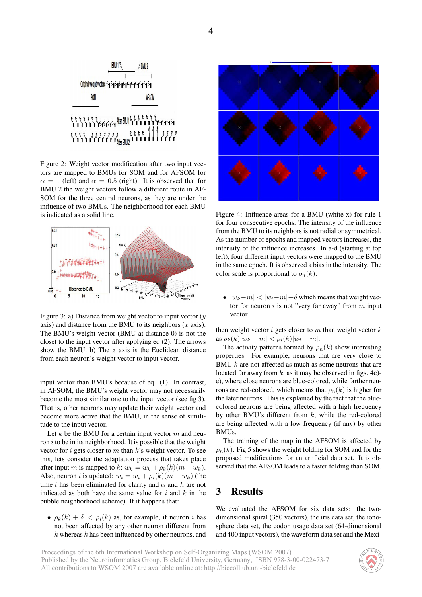

Figure 2: Weight vector modification after two input vectors are mapped to BMUs for SOM and for AFSOM for  $\alpha = 1$  (left) and  $\alpha = 0.5$  (right). It is observed that for BMU 2 the weight vectors follow a different route in AF-SOM for the three central neurons, as they are under the influence of two BMUs. The neighborhood for each BMU is indicated as a solid line.



Figure 3: a) Distance from weight vector to input vector  $(y)$ axis) and distance from the BMU to its neighbors  $(x \text{ axis})$ . The BMU's weight vector (BMU at distance 0) is not the closet to the input vector after applying eq (2). The arrows show the BMU. b) The  $z$  axis is the Euclidean distance from each neuron's weight vector to input vector.

input vector than BMU's because of eq. (1). In contrast, in AFSOM, the BMU's weight vector may not necessarily become the most similar one to the input vector (see fig 3). That is, other neurons may update their weight vector and become more active that the BMU, in the sense of similitude to the input vector.

Let k be the BMU for a certain input vector  $m$  and neuron  $i$  to be in its neighborhood. It is possible that the weight vector for  $i$  gets closer to  $m$  than  $k$ 's weight vector. To see this, lets consider the adaptation process that takes place after input m is mapped to k:  $w_k = w_k + \rho_k(k)(m - w_k)$ . Also, neuron *i* is updated:  $w_i = w_i + \rho_i(k)(m - w_k)$  (the time t has been eliminated for clarity and  $\alpha$  and h are not indicated as both have the same value for  $i$  and  $k$  in the bubble neighborhood scheme). If it happens that:

•  $\rho_k(k) + \delta < \rho_i(k)$  as, for example, if neuron i has not been affected by any other neuron different from  $k$  whereas  $k$  has been influenced by other neurons, and



Figure 4: Influence areas for a BMU (white x) for rule 1 for four consecutive epochs. The intensity of the influence from the BMU to its neighbors is not radial or symmetrical. As the number of epochs and mapped vectors increases, the intensity of the influence increases. In a-d (starting at top left), four different input vectors were mapped to the BMU in the same epoch. It is observed a bias in the intensity. The color scale is proportional to  $\rho_n(k)$ .

•  $|w_k-m| < |w_i-m|+\delta$  which means that weight vector for neuron  $i$  is not "very far away" from  $m$  input vector

then weight vector  $i$  gets closer to  $m$  than weight vector  $k$ as  $\rho_k(k)|w_k - m| < \rho_i(k)|w_i - m|$ .

The activity patterns formed by  $\rho_n(k)$  show interesting properties. For example, neurons that are very close to BMU k are not affected as much as some neurons that are located far away from  $k$ , as it may be observed in figs. 4c)e), where close neurons are blue-colored, while farther neurons are red-colored, which means that  $\rho_n(k)$  is higher for the later neurons. This is explained by the fact that the bluecolored neurons are being affected with a high frequency by other BMU's different from  $k$ , while the red-colored are being affected with a low frequency (if any) by other BMUs.

The training of the map in the AFSOM is affected by  $\rho_n(k)$ . Fig 5 shows the weight folding for SOM and for the proposed modifications for an artificial data set. It is observed that the AFSOM leads to a faster folding than SOM.

## 3 Results

We evaluated the AFSOM for six data sets: the twodimensional spiral (350 vectors), the iris data set, the ionosphere data set, the codon usage data set (64-dimensional and 400 input vectors), the waveform data set and the Mexi-

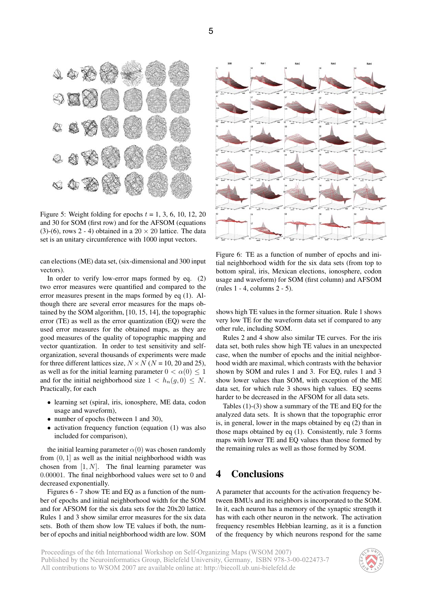

Figure 5: Weight folding for epochs  $t = 1, 3, 6, 10, 12, 20$ and 30 for SOM (first row) and for the AFSOM (equations (3)-(6), rows 2 - 4) obtained in a  $20 \times 20$  lattice. The data set is an unitary circumference with 1000 input vectors.

can elections (ME) data set, (six-dimensional and 300 input vectors).

In order to verify low-error maps formed by eq. (2) two error measures were quantified and compared to the error measures present in the maps formed by eq (1). Although there are several error measures for the maps obtained by the SOM algorithm, [10, 15, 14], the topographic error (TE) as well as the error quantization (EQ) were the used error measures for the obtained maps, as they are good measures of the quality of topographic mapping and vector quantization. In order to test sensitivity and selforganization, several thousands of experiments were made for three different lattices size,  $N \times N$  ( $N = 10, 20$  and 25), as well as for the initial learning parameter  $0 < \alpha(0) \leq 1$ and for the initial neighborhood size  $1 < h_n(g, 0) \leq N$ . Practically, for each

- learning set (spiral, iris, ionosphere, ME data, codon usage and waveform),
- number of epochs (between 1 and 30),
- activation frequency function (equation (1) was also included for comparison),

the initial learning parameter  $\alpha(0)$  was chosen randomly from  $(0, 1]$  as well as the initial neighborhood width was chosen from  $[1, N]$ . The final learning parameter was 0.00001. The final neighborhood values were set to 0 and decreased exponentially.

Figures 6 - 7 show TE and EQ as a function of the number of epochs and initial neighborhood width for the SOM and for AFSOM for the six data sets for the 20x20 lattice. Rules 1 and 3 show similar error measures for the six data sets. Both of them show low TE values if both, the number of epochs and initial neighborhood width are low. SOM



Figure 6: TE as a function of number of epochs and initial neighborhood width for the six data sets (from top to bottom spiral, iris, Mexican elections, ionosphere, codon usage and waveform) for SOM (first column) and AFSOM (rules 1 - 4, columns 2 - 5).

shows high TE values in the former situation. Rule 1 shows very low TE for the waveform data set if compared to any other rule, including SOM.

Rules 2 and 4 show also similar TE curves. For the iris data set, both rules show high TE values in an unexpected case, when the number of epochs and the initial neighborhood width are maximal, which contrasts with the behavior shown by SOM and rules 1 and 3. For EQ, rules 1 and 3 show lower values than SOM, with exception of the ME data set, for which rule 3 shows high values. EQ seems harder to be decreased in the AFSOM for all data sets.

Tables (1)-(3) show a summary of the TE and EQ for the analyzed data sets. It is shown that the topographic error is, in general, lower in the maps obtained by eq (2) than in those maps obtained by eq (1). Consistently, rule 3 forms maps with lower TE and EQ values than those formed by the remaining rules as well as those formed by SOM.

## 4 Conclusions

A parameter that accounts for the activation frequency between BMUs and its neighbors is incorporated to the SOM. In it, each neuron has a memory of the synaptic strength it has with each other neuron in the network. The activation frequency resembles Hebbian learning, as it is a function of the frequency by which neurons respond for the same

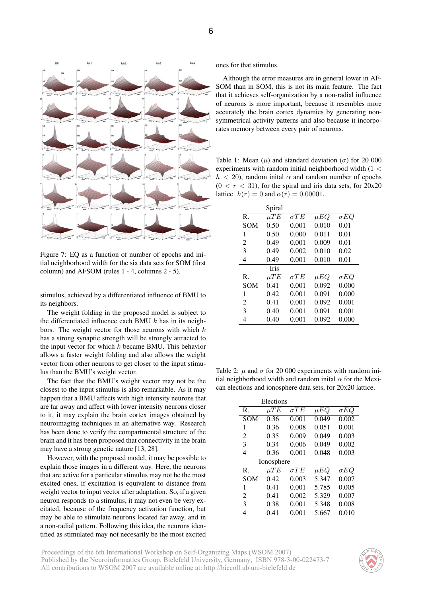



Figure 7: EQ as a function of number of epochs and initial neighborhood width for the six data sets for SOM (first column) and AFSOM (rules 1 - 4, columns 2 - 5).

stimulus, achieved by a differentiated influence of BMU to its neighbors.

The weight folding in the proposed model is subject to the differentiated influence each BMU  $k$  has in its neighbors. The weight vector for those neurons with which  $k$ has a strong synaptic strength will be strongly attracted to the input vector for which  $k$  became BMU. This behavior allows a faster weight folding and also allows the weight vector from other neurons to get closer to the input stimulus than the BMU's weight vector.

The fact that the BMU's weight vector may not be the closest to the input stimulus is also remarkable. As it may happen that a BMU affects with high intensity neurons that are far away and affect with lower intensity neurons closer to it, it may explain the brain cortex images obtained by neuroimaging techniques in an alternative way. Research has been done to verify the compartmental structure of the brain and it has been proposed that connectivity in the brain may have a strong genetic nature [13, 28].

However, with the proposed model, it may be possible to explain those images in a different way. Here, the neurons that are active for a particular stimulus may not be the most excited ones, if excitation is equivalent to distance from weight vector to input vector after adaptation. So, if a given neuron responds to a stimulus, it may not even be very excitated, because of the frequency activation function, but may be able to stimulate neurons located far away, and in a non-radial pattern. Following this idea, the neurons identified as stimulated may not necesarily be the most excited ones for that stimulus.

Although the error measures are in general lower in AF-SOM than in SOM, this is not its main feature. The fact that it achieves self-organization by a non-radial influence of neurons is more important, because it resembles more accurately the brain cortex dynamics by generating nonsymmetrical activity patterns and also because it incorporates memory between every pair of neurons.

Table 1: Mean  $(\mu)$  and standard deviation ( $\sigma$ ) for 20 000 experiments with random initial neighborhood width (1 <  $h < 20$ , random initial  $\alpha$  and random number of epochs  $(0 < r < 31)$ , for the spiral and iris data sets, for  $20x20$ lattice.  $h(r) = 0$  and  $\alpha(r) = 0.00001$ .

|                | Spiral      |             |          |             |
|----------------|-------------|-------------|----------|-------------|
| R.             | $\mu TE$    | $\sigma TE$ | $\mu EQ$ | $\sigma EQ$ |
| SOM            | 0.50        | 0.001       | 0.010    | 0.01        |
| 1              | 0.50        | 0.000       | 0.011    | 0.01        |
| 2              | 0.49        | 0.001       | 0.009    | 0.01        |
| 3              | 0.49        | 0.002       | 0.010    | 0.02        |
| 4              | 0.49        | 0.001       | 0.010    | 0.01        |
|                | <b>Iris</b> |             |          |             |
| $\mathbf{R}$ . | $\mu TE$    | $\sigma TE$ | $\mu EQ$ | $\sigma EQ$ |
| <b>SOM</b>     | 0.41        | 0.001       | 0.092    | 0.000       |
| 1              | 0.42        | 0.001       | 0.091    | 0.000       |
| 2              | 0.41        | 0.001       | 0.092    | 0.001       |
| 3              | 0.40        | 0.001       | 0.091    | 0.001       |
| 4              | 0.40        | 0.001       | 0.092    | 0.000       |

Table 2:  $\mu$  and  $\sigma$  for 20 000 experiments with random initial neighborhood width and random inital  $\alpha$  for the Mexican elections and ionosphere data sets, for 20x20 lattice.

| Elections      |          |             |          |             |  |  |
|----------------|----------|-------------|----------|-------------|--|--|
| R.             | $\mu TE$ | $\sigma TE$ | $\mu EQ$ | $\sigma EQ$ |  |  |
| <b>SOM</b>     | 0.36     | 0.001       | 0.049    | 0.002       |  |  |
| 1              | 0.36     | 0.008       | 0.051    | 0.001       |  |  |
| 2              | 0.35     | 0.009       | 0.049    | 0.003       |  |  |
| 3              | 0.34     | 0.006       | 0.049    | 0.002       |  |  |
| 4              | 0.36     | 0.001       | 0.048    | 0.003       |  |  |
| Ionosphere     |          |             |          |             |  |  |
| $\mathbf{R}$ . | $\mu TE$ | $\sigma TE$ | $\mu EQ$ | $\sigma EQ$ |  |  |
| <b>SOM</b>     | 0.42     | 0.003       | 5.347    | 0.007       |  |  |
| 1              | 0.41     | 0.001       | 5.785    | 0.005       |  |  |
| $\mathfrak{D}$ | 0.41     | 0.002       | 5.329    | 0.007       |  |  |
| 3              | 0.38     | 0.001       | 5.348    | 0.008       |  |  |
| 4              | 0.41     | 0.001       | 5.667    | 0.010       |  |  |